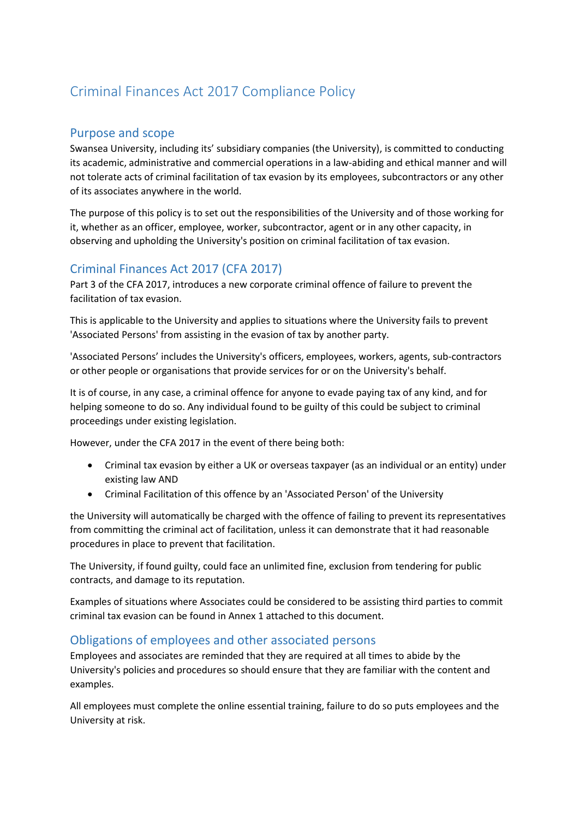# Criminal Finances Act 2017 Compliance Policy

# Purpose and scope

Swansea University, including its' subsidiary companies (the University), is committed to conducting its academic, administrative and commercial operations in a law-abiding and ethical manner and will not tolerate acts of criminal facilitation of tax evasion by its employees, subcontractors or any other of its associates anywhere in the world.

The purpose of this policy is to set out the responsibilities of the University and of those working for it, whether as an officer, employee, worker, subcontractor, agent or in any other capacity, in observing and upholding the University's position on criminal facilitation of tax evasion.

# Criminal Finances Act 2017 (CFA 2017)

Part 3 of the CFA 2017, introduces a new corporate criminal offence of failure to prevent the facilitation of tax evasion.

This is applicable to the University and applies to situations where the University fails to prevent 'Associated Persons' from assisting in the evasion of tax by another party.

'Associated Persons' includes the University's officers, employees, workers, agents, sub-contractors or other people or organisations that provide services for or on the University's behalf.

It is of course, in any case, a criminal offence for anyone to evade paying tax of any kind, and for helping someone to do so. Any individual found to be guilty of this could be subject to criminal proceedings under existing legislation.

However, under the CFA 2017 in the event of there being both:

- Criminal tax evasion by either a UK or overseas taxpayer (as an individual or an entity) under existing law AND
- Criminal Facilitation of this offence by an 'Associated Person' of the University

the University will automatically be charged with the offence of failing to prevent its representatives from committing the criminal act of facilitation, unless it can demonstrate that it had reasonable procedures in place to prevent that facilitation.

The University, if found guilty, could face an unlimited fine, exclusion from tendering for public contracts, and damage to its reputation.

Examples of situations where Associates could be considered to be assisting third parties to commit criminal tax evasion can be found in Annex 1 attached to this document.

# Obligations of employees and other associated persons

Employees and associates are reminded that they are required at all times to abide by the University's policies and procedures so should ensure that they are familiar with the content and examples.

All employees must complete the online essential training, failure to do so puts employees and the University at risk.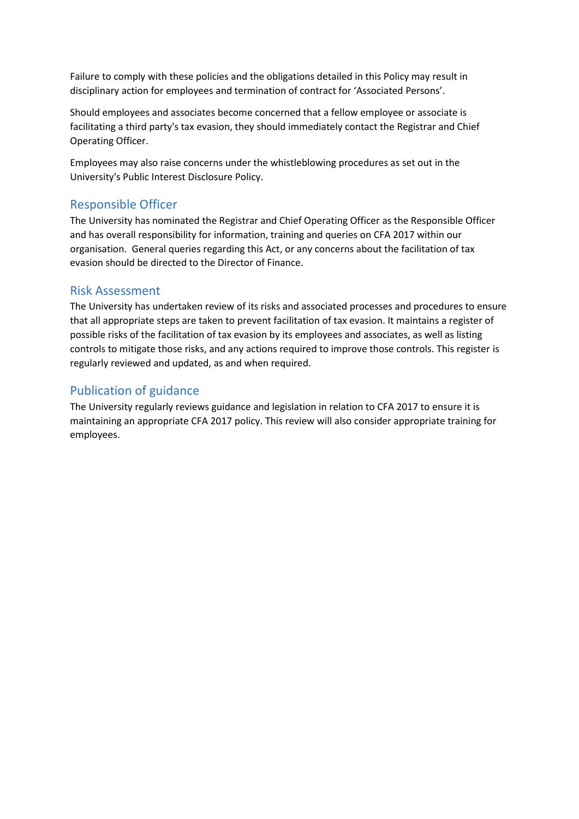Failure to comply with these policies and the obligations detailed in this Policy may result in disciplinary action for employees and termination of contract for 'Associated Persons'.

Should employees and associates become concerned that a fellow employee or associate is facilitating a third party's tax evasion, they should immediately contact the Registrar and Chief Operating Officer.

Employees may also raise concerns under the whistleblowing procedures as set out in the University's Public Interest Disclosure Policy.

#### Responsible Officer

The University has nominated the Registrar and Chief Operating Officer as the Responsible Officer and has overall responsibility for information, training and queries on CFA 2017 within our organisation. General queries regarding this Act, or any concerns about the facilitation of tax evasion should be directed to the Director of Finance.

#### Risk Assessment

The University has undertaken review of its risks and associated processes and procedures to ensure that all appropriate steps are taken to prevent facilitation of tax evasion. It maintains a register of possible risks of the facilitation of tax evasion by its employees and associates, as well as listing controls to mitigate those risks, and any actions required to improve those controls. This register is regularly reviewed and updated, as and when required.

# Publication of guidance

The University regularly reviews guidance and legislation in relation to CFA 2017 to ensure it is maintaining an appropriate CFA 2017 policy. This review will also consider appropriate training for employees.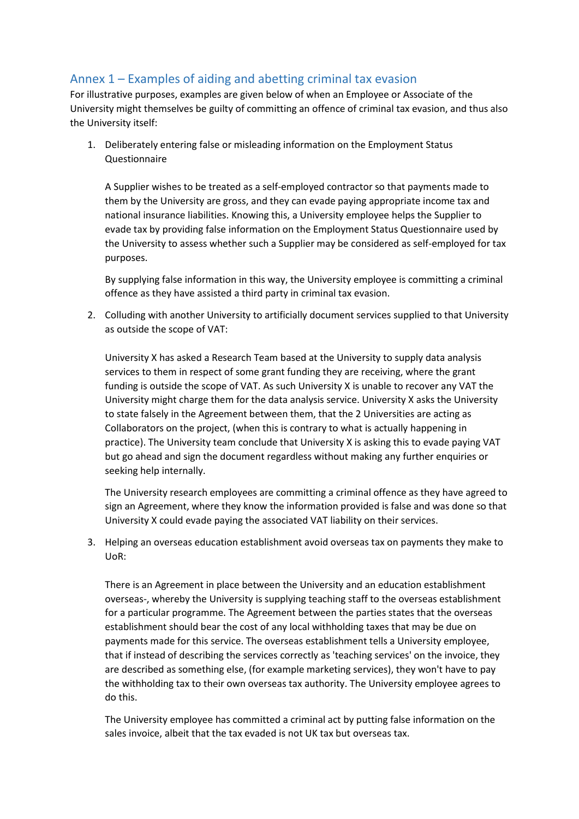# Annex 1 – Examples of aiding and abetting criminal tax evasion

For illustrative purposes, examples are given below of when an Employee or Associate of the University might themselves be guilty of committing an offence of criminal tax evasion, and thus also the University itself:

1. Deliberately entering false or misleading information on the Employment Status Questionnaire

A Supplier wishes to be treated as a self-employed contractor so that payments made to them by the University are gross, and they can evade paying appropriate income tax and national insurance liabilities. Knowing this, a University employee helps the Supplier to evade tax by providing false information on the Employment Status Questionnaire used by the University to assess whether such a Supplier may be considered as self-employed for tax purposes.

By supplying false information in this way, the University employee is committing a criminal offence as they have assisted a third party in criminal tax evasion.

2. Colluding with another University to artificially document services supplied to that University as outside the scope of VAT:

University X has asked a Research Team based at the University to supply data analysis services to them in respect of some grant funding they are receiving, where the grant funding is outside the scope of VAT. As such University X is unable to recover any VAT the University might charge them for the data analysis service. University X asks the University to state falsely in the Agreement between them, that the 2 Universities are acting as Collaborators on the project, (when this is contrary to what is actually happening in practice). The University team conclude that University X is asking this to evade paying VAT but go ahead and sign the document regardless without making any further enquiries or seeking help internally.

The University research employees are committing a criminal offence as they have agreed to sign an Agreement, where they know the information provided is false and was done so that University X could evade paying the associated VAT liability on their services.

3. Helping an overseas education establishment avoid overseas tax on payments they make to UoR:

There is an Agreement in place between the University and an education establishment overseas-, whereby the University is supplying teaching staff to the overseas establishment for a particular programme. The Agreement between the parties states that the overseas establishment should bear the cost of any local withholding taxes that may be due on payments made for this service. The overseas establishment tells a University employee, that if instead of describing the services correctly as 'teaching services' on the invoice, they are described as something else, (for example marketing services), they won't have to pay the withholding tax to their own overseas tax authority. The University employee agrees to do this.

The University employee has committed a criminal act by putting false information on the sales invoice, albeit that the tax evaded is not UK tax but overseas tax.